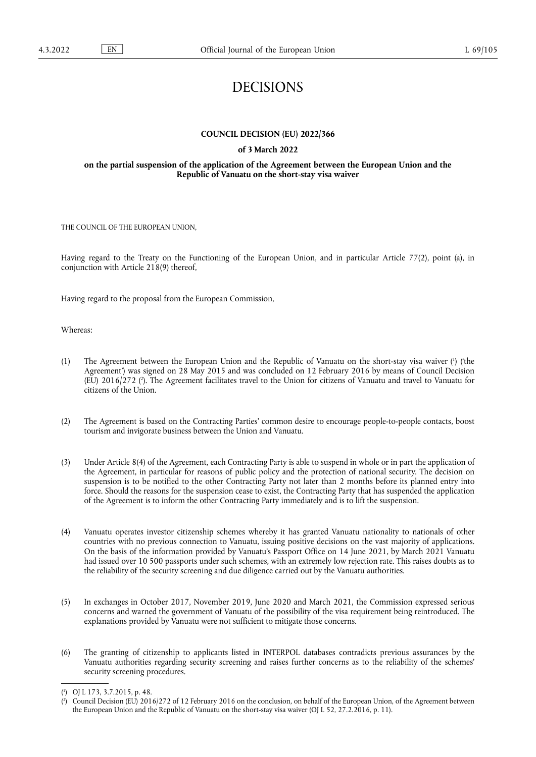# DECISIONS

# **COUNCIL DECISION (EU) 2022/366**

#### **of 3 March 2022**

### **on the partial suspension of the application of the Agreement between the European Union and the Republic of Vanuatu on the short-stay visa waiver**

THE COUNCIL OF THE EUROPEAN UNION,

Having regard to the Treaty on the Functioning of the European Union, and in particular Article 77(2), point (a), in conjunction with Article 218(9) thereof,

Having regard to the proposal from the European Commission,

Whereas:

- <span id="page-0-3"></span><span id="page-0-2"></span>[\(](#page-0-0)1) The Agreement between the European Union and the Republic of Vanuatu on the short-stay visa waiver (<sup>1</sup>) (the Agreement') was signed on 28 May 2015 and was concluded on 12 February 2016 by means of Council Decision (EU) 2016/272 ( 2 [\).](#page-0-1) The Agreement facilitates travel to the Union for citizens of Vanuatu and travel to Vanuatu for citizens of the Union.
- (2) The Agreement is based on the Contracting Parties' common desire to encourage people-to-people contacts, boost tourism and invigorate business between the Union and Vanuatu.
- (3) Under Article 8(4) of the Agreement, each Contracting Party is able to suspend in whole or in part the application of the Agreement, in particular for reasons of public policy and the protection of national security. The decision on suspension is to be notified to the other Contracting Party not later than 2 months before its planned entry into force. Should the reasons for the suspension cease to exist, the Contracting Party that has suspended the application of the Agreement is to inform the other Contracting Party immediately and is to lift the suspension.
- (4) Vanuatu operates investor citizenship schemes whereby it has granted Vanuatu nationality to nationals of other countries with no previous connection to Vanuatu, issuing positive decisions on the vast majority of applications. On the basis of the information provided by Vanuatu's Passport Office on 14 June 2021, by March 2021 Vanuatu had issued over 10 500 passports under such schemes, with an extremely low rejection rate. This raises doubts as to the reliability of the security screening and due diligence carried out by the Vanuatu authorities.
- (5) In exchanges in October 2017, November 2019, June 2020 and March 2021, the Commission expressed serious concerns and warned the government of Vanuatu of the possibility of the visa requirement being reintroduced. The explanations provided by Vanuatu were not sufficient to mitigate those concerns.
- (6) The granting of citizenship to applicants listed in INTERPOL databases contradicts previous assurances by the Vanuatu authorities regarding security screening and raises further concerns as to the reliability of the schemes' security screening procedures.

<span id="page-0-0"></span>[<sup>\(</sup>](#page-0-2) 1 ) OJ L 173, 3.7.2015, p. 48.

<span id="page-0-1"></span>[<sup>\(</sup>](#page-0-3) 2 ) Council Decision (EU) 2016/272 of 12 February 2016 on the conclusion, on behalf of the European Union, of the Agreement between the European Union and the Republic of Vanuatu on the short-stay visa waiver (OJ L 52, 27.2.2016, p. 11).